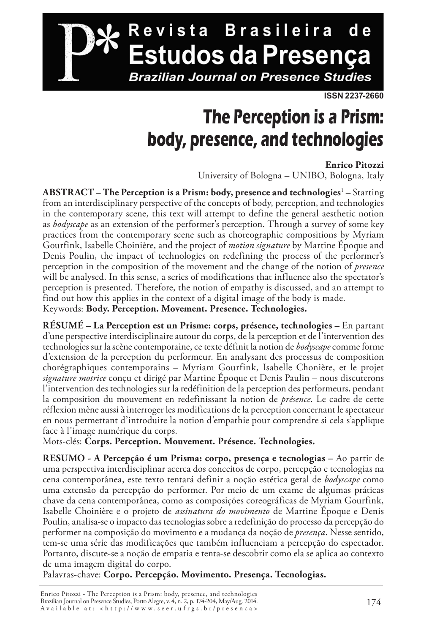

#### **The Perception is a Prism: body, presence, and technologies**

#### **Enrico Pitozzi**

University of Bologna – UNIBO, Bologna, Italy

**ABSTRACT – The Perception is a Prism: body, presence and technologies**<sup>1</sup>  **–** Starting from an interdisciplinary perspective of the concepts of body, perception, and technologies in the contemporary scene, this text will attempt to define the general aesthetic notion as *bodyscape* as an extension of the performer's perception. Through a survey of some key practices from the contemporary scene such as choreographic compositions by Myriam Gourfink, Isabelle Choinière, and the project of *motion signature* by Martine Époque and Denis Poulin, the impact of technologies on redefining the process of the performer's perception in the composition of the movement and the change of the notion of *presence* will be analysed. In this sense, a series of modifications that influence also the spectator's perception is presented. Therefore, the notion of empathy is discussed, and an attempt to find out how this applies in the context of a digital image of the body is made. Keywords: **Body. Perception. Movement. Presence. Technologies.**

**RÉSUMÉ – La Perception est un Prisme: corps, présence, technologies –** En partant d'une perspective interdisciplinaire autour du corps, de la perception et de l'intervention des technologies sur la scène contemporaine, ce texte définit la notion de *bodyscape* comme forme d'extension de la perception du performeur. En analysant des processus de composition chorégraphiques contemporains – Myriam Gourfink, Isabelle Chonière, et le projet *signature motrice* conçu et dirigé par Martine Époque et Denis Paulin – nous discuterons l'intervention des technologies sur la redéfinition de la perception des performeurs, pendant la composition du mouvement en redefinissant la notion de *présence*. Le cadre de cette réflexion mène aussi à interroger les modifications de la perception concernant le spectateur en nous permettant d'introduire la notion d'empathie pour comprendre si cela s'applique face à l'image numérique du corps.

Mots-clés: **Corps. Perception. Mouvement. Présence. Technologies.**

**RESUMO - A Percepção é um Prisma: corpo, presença e tecnologias –** Ao partir de uma perspectiva interdisciplinar acerca dos conceitos de corpo, percepção e tecnologias na cena contemporânea, este texto tentará definir a noção estética geral de *bodyscape* como uma extensão da percepção do performer. Por meio de um exame de algumas práticas chave da cena contemporânea, como as composições coreográficas de Myriam Gourfink, Isabelle Choinière e o projeto de *assinatura do movimento* de Martine Époque e Denis Poulin, analisa-se o impacto das tecnologias sobre a redefinição do processo da percepção do performer na composição do movimento e a mudança da noção de *presença*. Nesse sentido, tem-se uma série das modificações que também influenciam a percepção do espectador. Portanto, discute-se a noção de empatia e tenta-se descobrir como ela se aplica ao contexto de uma imagem digital do corpo.

Palavras-chave: **Corpo. Percepção. Movimento. Presença. Tecnologias.**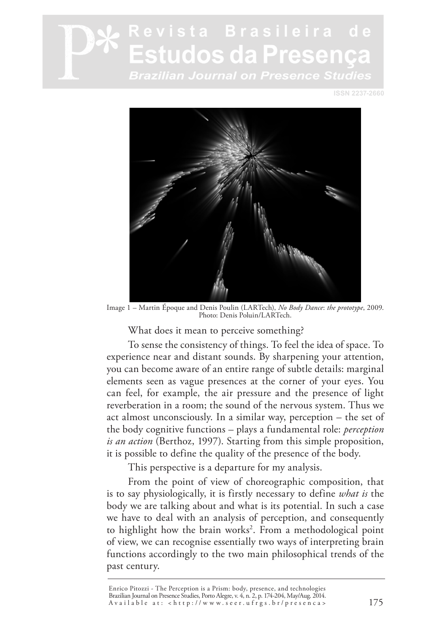**ISSN 2237-2660**



Image 1 – Martin Époque and Denis Poulin (LARTech), *No Body Dance*: *the prototype*, 2009. Photo: Denis Poluin/LARTech.

What does it mean to perceive something?

To sense the consistency of things. To feel the idea of space. To experience near and distant sounds. By sharpening your attention, you can become aware of an entire range of subtle details: marginal elements seen as vague presences at the corner of your eyes. You can feel, for example, the air pressure and the presence of light reverberation in a room; the sound of the nervous system. Thus we act almost unconsciously. In a similar way, perception – the set of the body cognitive functions – plays a fundamental role: *perception is an action* (Berthoz, 1997). Starting from this simple proposition, it is possible to define the quality of the presence of the body.

This perspective is a departure for my analysis.

From the point of view of choreographic composition, that is to say physiologically, it is firstly necessary to define *what is* the body we are talking about and what is its potential. In such a case we have to deal with an analysis of perception, and consequently to highlight how the brain works<sup>2</sup>. From a methodological point of view, we can recognise essentially two ways of interpreting brain functions accordingly to the two main philosophical trends of the past century.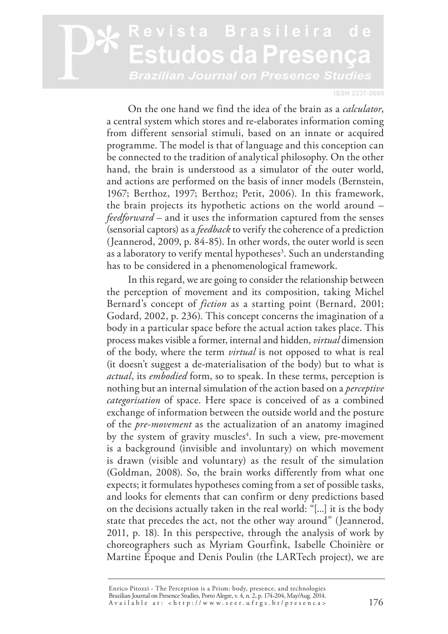#### **ISSN 2237-2660**

On the one hand we find the idea of the brain as a *calculator*, a central system which stores and re-elaborates information coming from different sensorial stimuli, based on an innate or acquired programme. The model is that of language and this conception can be connected to the tradition of analytical philosophy. On the other hand, the brain is understood as a simulator of the outer world, and actions are performed on the basis of inner models (Bernstein, 1967; Berthoz, 1997; Berthoz; Petit, 2006). In this framework, the brain projects its hypothetic actions on the world around – *feedforward* – and it uses the information captured from the senses (sensorial captors) as a *feedback* to verify the coherence of a prediction (Jeannerod, 2009, p. 84-85). In other words, the outer world is seen as a laboratory to verify mental hypotheses<sup>3</sup>. Such an understanding has to be considered in a phenomenological framework.

In this regard, we are going to consider the relationship between the perception of movement and its composition, taking Michel Bernard's concept of *fiction* as a starting point (Bernard, 2001; Godard, 2002, p. 236). This concept concerns the imagination of a body in a particular space before the actual action takes place. This process makes visible a former, internal and hidden, *virtual* dimension of the body, where the term *virtual* is not opposed to what is real (it doesn't suggest a de-materialisation of the body) but to what is *actual*, its *embodied* form, so to speak. In these terms, perception is nothing but an internal simulation of the action based on a *perceptive categorisation* of space. Here space is conceived of as a combined exchange of information between the outside world and the posture of the *pre-movement* as the actualization of an anatomy imagined by the system of gravity muscles<sup>4</sup>. In such a view, pre-movement is a background (invisible and involuntary) on which movement is drawn (visible and voluntary) as the result of the simulation (Goldman, 2008). So, the brain works differently from what one expects; it formulates hypotheses coming from a set of possible tasks, and looks for elements that can confirm or deny predictions based on the decisions actually taken in the real world: "[...] it is the body state that precedes the act, not the other way around" (Jeannerod, 2011, p. 18). In this perspective, through the analysis of work by choreographers such as Myriam Gourfink, Isabelle Choinière or Martine Époque and Denis Poulin (the LARTech project), we are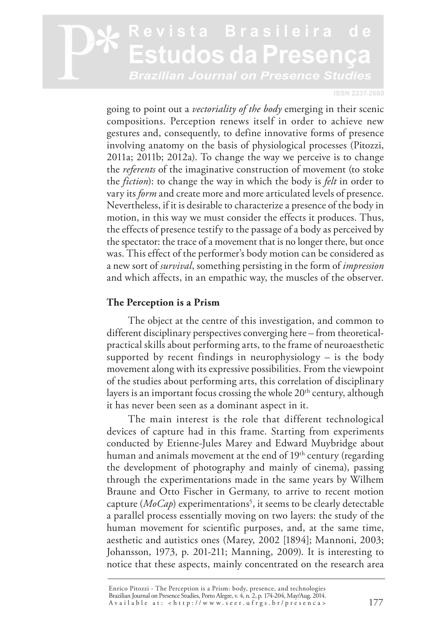**ISSN 2237-2660**

going to point out a *vectoriality of the body* emerging in their scenic compositions. Perception renews itself in order to achieve new gestures and, consequently, to define innovative forms of presence involving anatomy on the basis of physiological processes (Pitozzi, 2011a; 2011b; 2012a). To change the way we perceive is to change the *referents* of the imaginative construction of movement (to stoke the *fiction*): to change the way in which the body is *felt* in order to vary its *form* and create more and more articulated levels of presence. Nevertheless, if it is desirable to characterize a presence of the body in motion, in this way we must consider the effects it produces. Thus, the effects of presence testify to the passage of a body as perceived by the spectator: the trace of a movement that is no longer there, but once was. This effect of the performer's body motion can be considered as a new sort of *survival*, something persisting in the form of *impression* and which affects, in an empathic way, the muscles of the observer.

#### **The Perception is a Prism**

The object at the centre of this investigation, and common to different disciplinary perspectives converging here – from theoreticalpractical skills about performing arts, to the frame of neuroaesthetic supported by recent findings in neurophysiology  $-$  is the body movement along with its expressive possibilities. From the viewpoint of the studies about performing arts, this correlation of disciplinary layers is an important focus crossing the whole  $20<sup>th</sup>$  century, although it has never been seen as a dominant aspect in it.

The main interest is the role that different technological devices of capture had in this frame. Starting from experiments conducted by Etienne-Jules Marey and Edward Muybridge about human and animals movement at the end of 19<sup>th</sup> century (regarding the development of photography and mainly of cinema), passing through the experimentations made in the same years by Wilhem Braune and Otto Fischer in Germany, to arrive to recent motion capture (*MoCap*) experimentations<sup>5</sup>, it seems to be clearly detectable a parallel process essentially moving on two layers: the study of the human movement for scientific purposes, and, at the same time, aesthetic and autistics ones (Marey, 2002 [1894]; Mannoni, 2003; Johansson, 1973, p. 201-211; Manning, 2009). It is interesting to notice that these aspects, mainly concentrated on the research area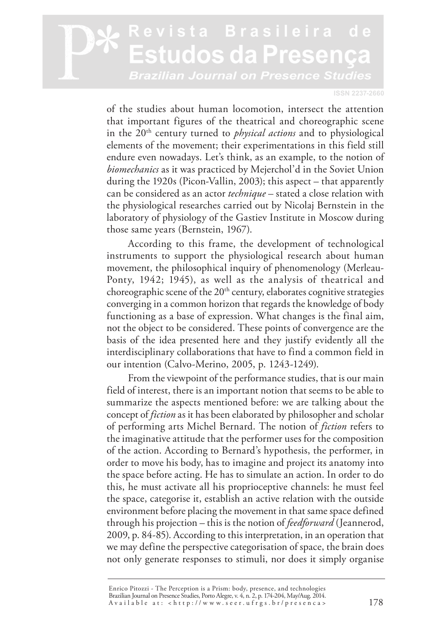**ISSN 2237-2660**

of the studies about human locomotion, intersect the attention that important figures of the theatrical and choreographic scene in the 20<sup>th</sup> century turned to *physical actions* and to physiological elements of the movement; their experimentations in this field still endure even nowadays. Let's think, as an example, to the notion of *biomechanics* as it was practiced by Mejerchol'd in the Soviet Union during the 1920s (Picon-Vallin, 2003); this aspect – that apparently can be considered as an actor *technique* – stated a close relation with the physiological researches carried out by Nicolaj Bernstein in the laboratory of physiology of the Gastiev Institute in Moscow during those same years (Bernstein, 1967).

According to this frame, the development of technological instruments to support the physiological research about human movement, the philosophical inquiry of phenomenology (Merleau-Ponty, 1942; 1945), as well as the analysis of theatrical and choreographic scene of the  $20<sup>th</sup>$  century, elaborates cognitive strategies converging in a common horizon that regards the knowledge of body functioning as a base of expression. What changes is the final aim, not the object to be considered. These points of convergence are the basis of the idea presented here and they justify evidently all the interdisciplinary collaborations that have to find a common field in our intention (Calvo-Merino, 2005, p. 1243-1249).

From the viewpoint of the performance studies, that is our main field of interest, there is an important notion that seems to be able to summarize the aspects mentioned before: we are talking about the concept of *fiction* as it has been elaborated by philosopher and scholar of performing arts Michel Bernard. The notion of *fiction* refers to the imaginative attitude that the performer uses for the composition of the action. According to Bernard's hypothesis, the performer, in order to move his body, has to imagine and project its anatomy into the space before acting. He has to simulate an action. In order to do this, he must activate all his proprioceptive channels: he must feel the space, categorise it, establish an active relation with the outside environment before placing the movement in that same space defined through his projection – this is the notion of *feedforward* (Jeannerod, 2009, p. 84-85). According to this interpretation, in an operation that we may define the perspective categorisation of space, the brain does not only generate responses to stimuli, nor does it simply organise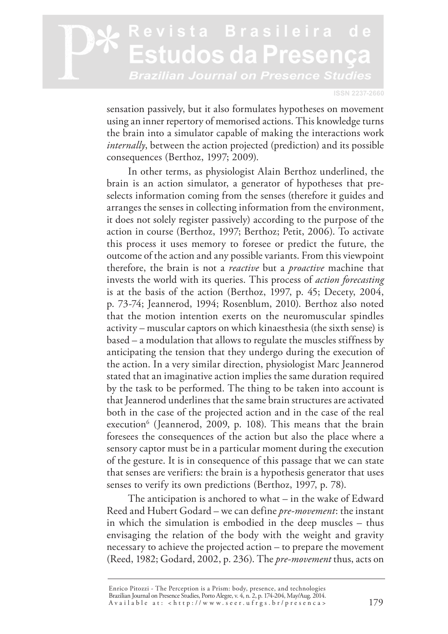**ISSN 2237-2660**

sensation passively, but it also formulates hypotheses on movement using an inner repertory of memorised actions. This knowledge turns the brain into a simulator capable of making the interactions work *internally*, between the action projected (prediction) and its possible consequences (Berthoz, 1997; 2009).

In other terms, as physiologist Alain Berthoz underlined, the brain is an action simulator, a generator of hypotheses that preselects information coming from the senses (therefore it guides and arranges the senses in collecting information from the environment, it does not solely register passively) according to the purpose of the action in course (Berthoz, 1997; Berthoz; Petit, 2006). To activate this process it uses memory to foresee or predict the future, the outcome of the action and any possible variants. From this viewpoint therefore, the brain is not a *reactive* but a *proactive* machine that invests the world with its queries. This process of *action forecasting* is at the basis of the action (Berthoz, 1997, p. 45; Decety, 2004, p. 73-74; Jeannerod, 1994; Rosenblum, 2010). Berthoz also noted that the motion intention exerts on the neuromuscular spindles activity – muscular captors on which kinaesthesia (the sixth sense) is based – a modulation that allows to regulate the muscles stiffness by anticipating the tension that they undergo during the execution of the action. In a very similar direction, physiologist Marc Jeannerod stated that an imaginative action implies the same duration required by the task to be performed. The thing to be taken into account is that Jeannerod underlines that the same brain structures are activated both in the case of the projected action and in the case of the real execution<sup>6</sup> (Jeannerod, 2009, p. 108). This means that the brain foresees the consequences of the action but also the place where a sensory captor must be in a particular moment during the execution of the gesture. It is in consequence of this passage that we can state that senses are verifiers: the brain is a hypothesis generator that uses senses to verify its own predictions (Berthoz, 1997, p. 78).

The anticipation is anchored to what – in the wake of Edward Reed and Hubert Godard – we can define *pre-movement*: the instant in which the simulation is embodied in the deep muscles – thus envisaging the relation of the body with the weight and gravity necessary to achieve the projected action – to prepare the movement (Reed, 1982; Godard, 2002, p. 236). The *pre-movement* thus, acts on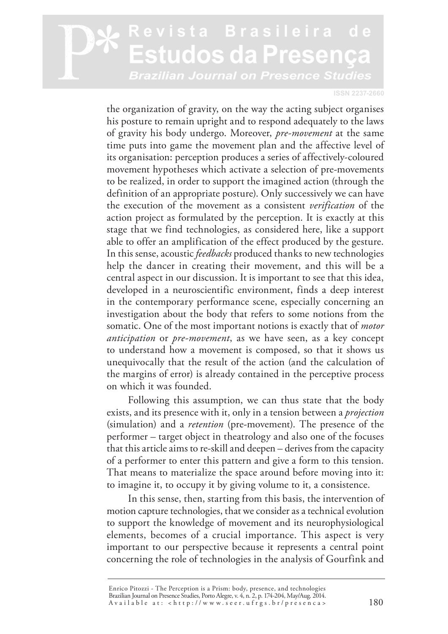#### evista Brasileira studos da Presen Brazilian Journal on Presence Studies

**ISSN 2237-2660**

the organization of gravity, on the way the acting subject organises his posture to remain upright and to respond adequately to the laws of gravity his body undergo. Moreover, *pre-movement* at the same time puts into game the movement plan and the affective level of its organisation: perception produces a series of affectively-coloured movement hypotheses which activate a selection of pre-movements to be realized, in order to support the imagined action (through the definition of an appropriate posture). Only successively we can have the execution of the movement as a consistent *verification* of the action project as formulated by the perception. It is exactly at this stage that we find technologies, as considered here, like a support able to offer an amplification of the effect produced by the gesture. In this sense, acoustic *feedbacks* produced thanks to new technologies help the dancer in creating their movement, and this will be a central aspect in our discussion. It is important to see that this idea, developed in a neuroscientific environment, finds a deep interest in the contemporary performance scene, especially concerning an investigation about the body that refers to some notions from the somatic. One of the most important notions is exactly that of *motor anticipation* or *pre-movement*, as we have seen, as a key concept to understand how a movement is composed, so that it shows us unequivocally that the result of the action (and the calculation of the margins of error) is already contained in the perceptive process on which it was founded.

Following this assumption, we can thus state that the body exists, and its presence with it, only in a tension between a *projection*  (simulation) and a *retention* (pre-movement). The presence of the performer – target object in theatrology and also one of the focuses that this article aims to re-skill and deepen – derives from the capacity of a performer to enter this pattern and give a form to this tension. That means to materialize the space around before moving into it: to imagine it, to occupy it by giving volume to it, a consistence.

In this sense, then, starting from this basis, the intervention of motion capture technologies, that we consider as a technical evolution to support the knowledge of movement and its neurophysiological elements, becomes of a crucial importance. This aspect is very important to our perspective because it represents a central point concerning the role of technologies in the analysis of Gourfink and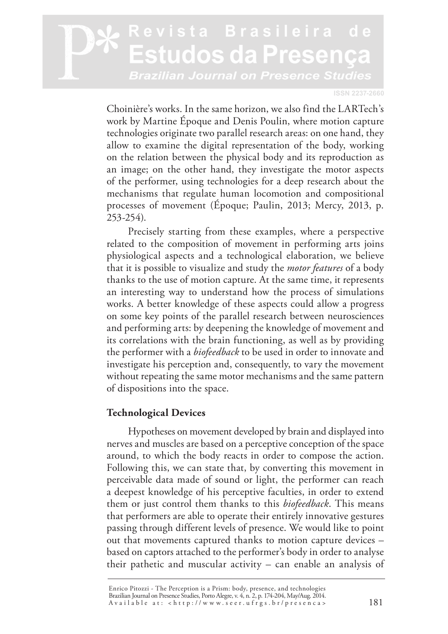#### **ISSN 2237-2660**

Choinière's works. In the same horizon, we also find the LARTech's work by Martine Époque and Denis Poulin, where motion capture technologies originate two parallel research areas: on one hand, they allow to examine the digital representation of the body, working on the relation between the physical body and its reproduction as an image; on the other hand, they investigate the motor aspects of the performer, using technologies for a deep research about the mechanisms that regulate human locomotion and compositional processes of movement (Époque; Paulin, 2013; Mercy, 2013, p. 253-254).

Precisely starting from these examples, where a perspective related to the composition of movement in performing arts joins physiological aspects and a technological elaboration, we believe that it is possible to visualize and study the *motor features* of a body thanks to the use of motion capture. At the same time, it represents an interesting way to understand how the process of simulations works. A better knowledge of these aspects could allow a progress on some key points of the parallel research between neurosciences and performing arts: by deepening the knowledge of movement and its correlations with the brain functioning, as well as by providing the performer with a *biofeedback* to be used in order to innovate and investigate his perception and, consequently, to vary the movement without repeating the same motor mechanisms and the same pattern of dispositions into the space.

#### **Technological Devices**

Hypotheses on movement developed by brain and displayed into nerves and muscles are based on a perceptive conception of the space around, to which the body reacts in order to compose the action. Following this, we can state that, by converting this movement in perceivable data made of sound or light, the performer can reach a deepest knowledge of his perceptive faculties, in order to extend them or just control them thanks to this *biofeedback*. This means that performers are able to operate their entirely innovative gestures passing through different levels of presence. We would like to point out that movements captured thanks to motion capture devices – based on captors attached to the performer's body in order to analyse their pathetic and muscular activity – can enable an analysis of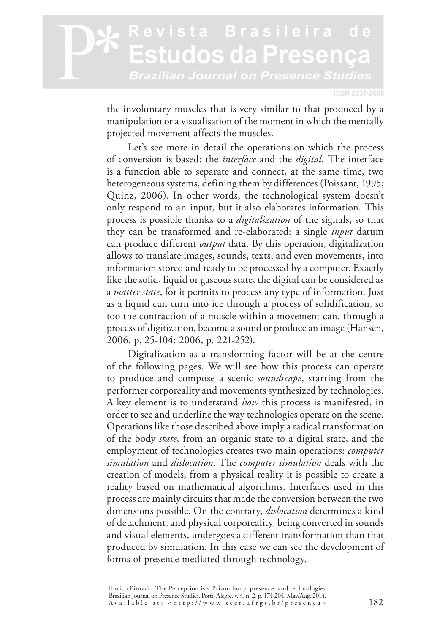**ISSN 2237-2660**

the involuntary muscles that is very similar to that produced by a manipulation or a visualisation of the moment in which the mentally projected movement affects the muscles.

Let's see more in detail the operations on which the process of conversion is based: the *interface* and the *digital*. The interface is a function able to separate and connect, at the same time, two heterogeneous systems, defining them by differences (Poissant, 1995; Quinz, 2006). In other words, the technological system doesn't only respond to an input, but it also elaborates information. This process is possible thanks to a *digitalization* of the signals, so that they can be transformed and re-elaborated: a single *input* datum can produce different *output* data. By this operation, digitalization allows to translate images, sounds, texts, and even movements, into information stored and ready to be processed by a computer. Exactly like the solid, liquid or gaseous state, the digital can be considered as a *matter state*, for it permits to process any type of information. Just as a liquid can turn into ice through a process of solidification, so too the contraction of a muscle within a movement can, through a process of digitization, become a sound or produce an image (Hansen, 2006, p. 25-104; 2006, p. 221-252).

Digitalization as a transforming factor will be at the centre of the following pages. We will see how this process can operate to produce and compose a scenic *soundscape*, starting from the performer corporeality and movements synthesized by technologies. A key element is to understand *how* this process is manifested, in order to see and underline the way technologies operate on the scene. Operations like those described above imply a radical transformation of the body *state*, from an organic state to a digital state, and the employment of technologies creates two main operations: *computer simulation* and *dislocation*. The *computer simulation* deals with the creation of models; from a physical reality it is possible to create a reality based on mathematical algorithms. Interfaces used in this process are mainly circuits that made the conversion between the two dimensions possible. On the contrary, *dislocation* determines a kind of detachment, and physical corporeality, being converted in sounds and visual elements, undergoes a different transformation than that produced by simulation. In this case we can see the development of forms of presence mediated through technology.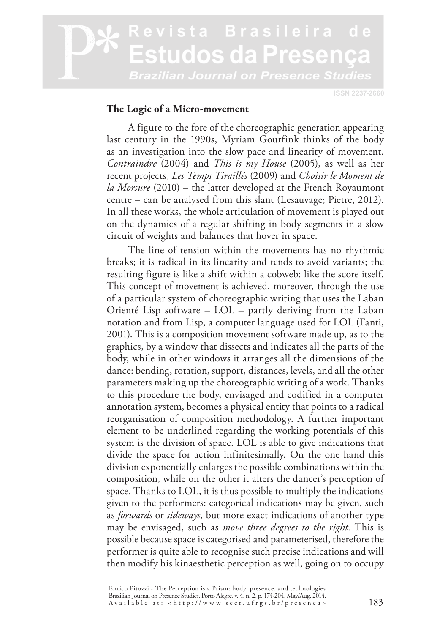**ISSN 2237-2660**

#### **The Logic of a Micro-movement**

A figure to the fore of the choreographic generation appearing last century in the 1990s, Myriam Gourfink thinks of the body as an investigation into the slow pace and linearity of movement. *Contraindre* (2004) and *This is my House* (2005), as well as her recent projects, *Les Temps Tiraillés* (2009) and *Choisir le Moment de la Morsure* (2010) – the latter developed at the French Royaumont centre – can be analysed from this slant (Lesauvage; Pietre, 2012). In all these works, the whole articulation of movement is played out on the dynamics of a regular shifting in body segments in a slow circuit of weights and balances that hover in space.

The line of tension within the movements has no rhythmic breaks; it is radical in its linearity and tends to avoid variants; the resulting figure is like a shift within a cobweb: like the score itself. This concept of movement is achieved, moreover, through the use of a particular system of choreographic writing that uses the Laban Orienté Lisp software – LOL – partly deriving from the Laban notation and from Lisp, a computer language used for LOL (Fanti, 2001). This is a composition movement software made up, as to the graphics, by a window that dissects and indicates all the parts of the body, while in other windows it arranges all the dimensions of the dance: bending, rotation, support, distances, levels, and all the other parameters making up the choreographic writing of a work. Thanks to this procedure the body, envisaged and codified in a computer annotation system, becomes a physical entity that points to a radical reorganisation of composition methodology. A further important element to be underlined regarding the working potentials of this system is the division of space. LOL is able to give indications that divide the space for action infinitesimally. On the one hand this division exponentially enlarges the possible combinations within the composition, while on the other it alters the dancer's perception of space. Thanks to LOL, it is thus possible to multiply the indications given to the performers: categorical indications may be given, such as *forwards* or *sideways*, but more exact indications of another type may be envisaged, such as *move three degrees to the right*. This is possible because space is categorised and parameterised, therefore the performer is quite able to recognise such precise indications and will then modify his kinaesthetic perception as well, going on to occupy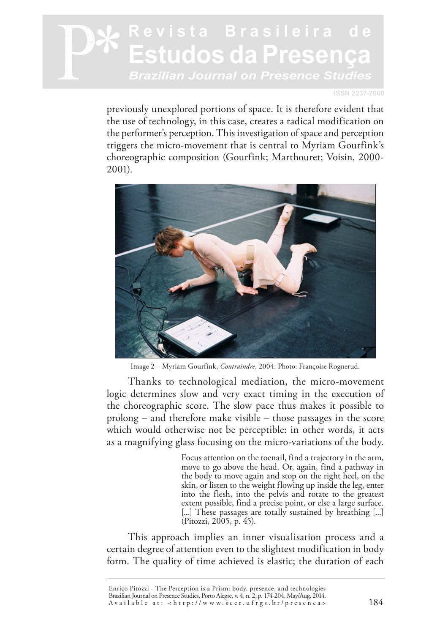#### **ISSN 2237-2660**

previously unexplored portions of space. It is therefore evident that the use of technology, in this case, creates a radical modification on the performer's perception. This investigation of space and perception triggers the micro-movement that is central to Myriam Gourfink's choreographic composition (Gourfink; Marthouret; Voisin, 2000- 2001).



Image 2 – Myriam Gourfink, *Contraindre*, 2004. Photo: Françoise Rognerud.

Thanks to technological mediation, the micro-movement logic determines slow and very exact timing in the execution of the choreographic score. The slow pace thus makes it possible to prolong – and therefore make visible – those passages in the score which would otherwise not be perceptible: in other words, it acts as a magnifying glass focusing on the micro-variations of the body.

> Focus attention on the toenail, find a trajectory in the arm, move to go above the head. Or, again, find a pathway in the body to move again and stop on the right heel, on the skin, or listen to the weight flowing up inside the leg, enter into the flesh, into the pelvis and rotate to the greatest extent possible, find a precise point, or else a large surface. [...] These passages are totally sustained by breathing [...] (Pitozzi, 2005, p. 45).

This approach implies an inner visualisation process and a certain degree of attention even to the slightest modification in body form. The quality of time achieved is elastic; the duration of each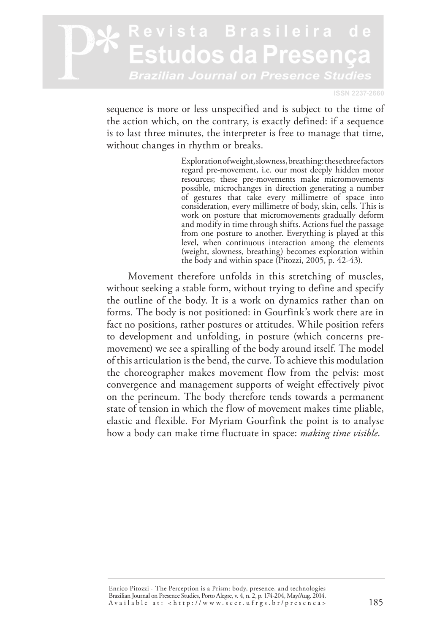**ISSN 2237-2660**

sequence is more or less unspecified and is subject to the time of the action which, on the contrary, is exactly defined: if a sequence is to last three minutes, the interpreter is free to manage that time, without changes in rhythm or breaks.

> Exploration of weight, slowness, breathing: these three factors regard pre-movement, i.e. our most deeply hidden motor resources; these pre-movements make micromovements possible, microchanges in direction generating a number of gestures that take every millimetre of space into consideration, every millimetre of body, skin, cells. This is work on posture that micromovements gradually deform and modify in time through shifts. Actions fuel the passage from one posture to another. Everything is played at this level, when continuous interaction among the elements (weight, slowness, breathing) becomes exploration within the body and within space (Pitozzi, 2005, p. 42-43).

Movement therefore unfolds in this stretching of muscles, without seeking a stable form, without trying to define and specify the outline of the body. It is a work on dynamics rather than on forms. The body is not positioned: in Gourfink's work there are in fact no positions, rather postures or attitudes. While position refers to development and unfolding, in posture (which concerns premovement) we see a spiralling of the body around itself. The model of this articulation is the bend, the curve. To achieve this modulation the choreographer makes movement flow from the pelvis: most convergence and management supports of weight effectively pivot on the perineum. The body therefore tends towards a permanent state of tension in which the flow of movement makes time pliable, elastic and flexible. For Myriam Gourfink the point is to analyse how a body can make time fluctuate in space: *making time visible*.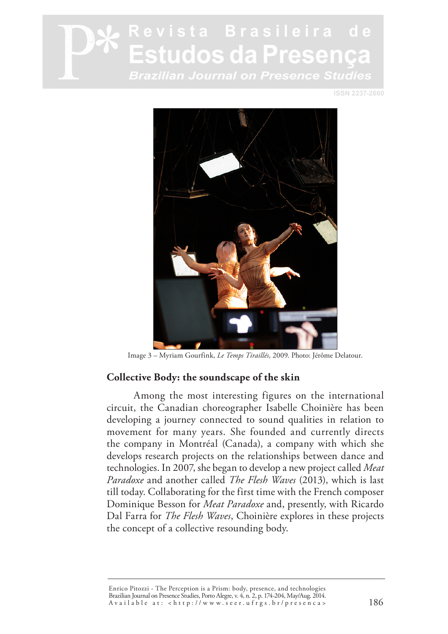**ISSN 2237-2660**



Image 3 – Myriam Gourfink, *Le Temps Tiraillés*, 2009. Photo: Jérôme Delatour.

#### **Collective Body: the soundscape of the skin**

Among the most interesting figures on the international circuit, the Canadian choreographer Isabelle Choinière has been developing a journey connected to sound qualities in relation to movement for many years. She founded and currently directs the company in Montréal (Canada), a company with which she develops research projects on the relationships between dance and technologies. In 2007, she began to develop a new project called *Meat Paradoxe* and another called *The Flesh Waves* (2013), which is last till today. Collaborating for the first time with the French composer Dominique Besson for *Meat Paradoxe* and, presently, with Ricardo Dal Farra for *The Flesh Waves*, Choinière explores in these projects the concept of a collective resounding body.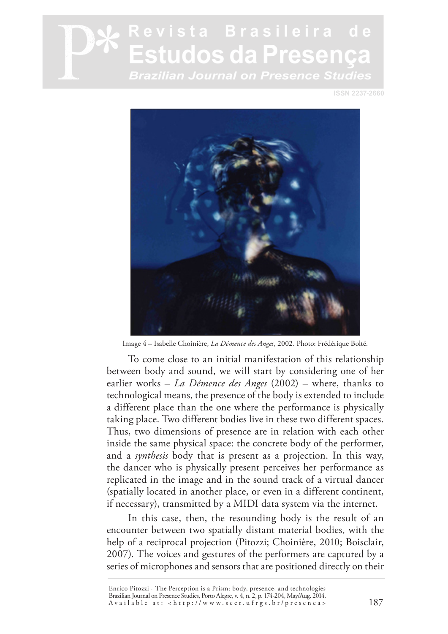**ISSN 2237-2660**



Image 4 – Isabelle Choinière, *La Démence des Anges*, 2002. Photo: Frédérique Bolté.

To come close to an initial manifestation of this relationship between body and sound, we will start by considering one of her earlier works – *La Démence des Anges* (2002) – where, thanks to technological means, the presence of the body is extended to include a different place than the one where the performance is physically taking place. Two different bodies live in these two different spaces. Thus, two dimensions of presence are in relation with each other inside the same physical space: the concrete body of the performer, and a *synthesis* body that is present as a projection. In this way, the dancer who is physically present perceives her performance as replicated in the image and in the sound track of a virtual dancer (spatially located in another place, or even in a different continent, if necessary), transmitted by a MIDI data system via the internet.

In this case, then, the resounding body is the result of an encounter between two spatially distant material bodies, with the help of a reciprocal projection (Pitozzi; Choinière, 2010; Boisclair, 2007). The voices and gestures of the performers are captured by a series of microphones and sensors that are positioned directly on their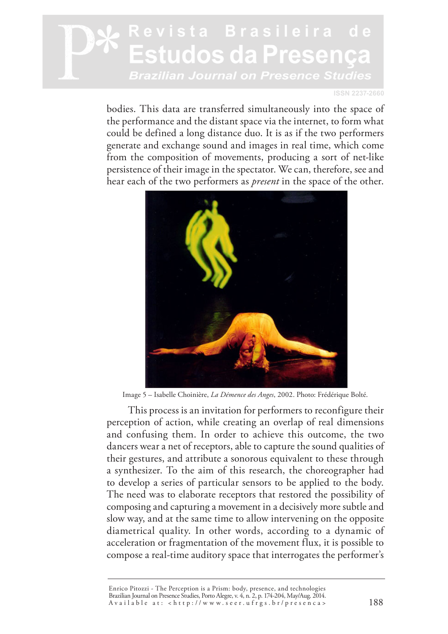**ISSN 2237-2660**

bodies. This data are transferred simultaneously into the space of the performance and the distant space via the internet, to form what could be defined a long distance duo. It is as if the two performers generate and exchange sound and images in real time, which come from the composition of movements, producing a sort of net-like persistence of their image in the spectator. We can, therefore, see and hear each of the two performers as *present* in the space of the other.



Image 5 – Isabelle Choinière, *La Démence des Anges*, 2002. Photo: Frédérique Bolté.

This process is an invitation for performers to reconfigure their perception of action, while creating an overlap of real dimensions and confusing them. In order to achieve this outcome, the two dancers wear a net of receptors, able to capture the sound qualities of their gestures, and attribute a sonorous equivalent to these through a synthesizer. To the aim of this research, the choreographer had to develop a series of particular sensors to be applied to the body. The need was to elaborate receptors that restored the possibility of composing and capturing a movement in a decisively more subtle and slow way, and at the same time to allow intervening on the opposite diametrical quality. In other words, according to a dynamic of acceleration or fragmentation of the movement flux, it is possible to compose a real-time auditory space that interrogates the performer's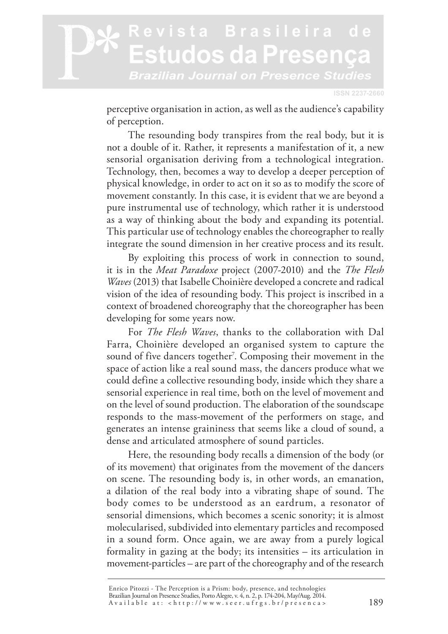**ISSN 2237-2660**

perceptive organisation in action, as well as the audience's capability of perception.

The resounding body transpires from the real body, but it is not a double of it. Rather, it represents a manifestation of it, a new sensorial organisation deriving from a technological integration. Technology, then, becomes a way to develop a deeper perception of physical knowledge, in order to act on it so as to modify the score of movement constantly. In this case, it is evident that we are beyond a pure instrumental use of technology, which rather it is understood as a way of thinking about the body and expanding its potential. This particular use of technology enables the choreographer to really integrate the sound dimension in her creative process and its result.

By exploiting this process of work in connection to sound, it is in the *Meat Paradoxe* project (2007-2010) and the *The Flesh Waves* (2013) that Isabelle Choinière developed a concrete and radical vision of the idea of resounding body. This project is inscribed in a context of broadened choreography that the choreographer has been developing for some years now.

For *The Flesh Waves*, thanks to the collaboration with Dal Farra, Choinière developed an organised system to capture the sound of five dancers together<sup>7</sup>. Composing their movement in the space of action like a real sound mass, the dancers produce what we could define a collective resounding body, inside which they share a sensorial experience in real time, both on the level of movement and on the level of sound production. The elaboration of the soundscape responds to the mass-movement of the performers on stage, and generates an intense graininess that seems like a cloud of sound, a dense and articulated atmosphere of sound particles.

Here, the resounding body recalls a dimension of the body (or of its movement) that originates from the movement of the dancers on scene. The resounding body is, in other words, an emanation, a dilation of the real body into a vibrating shape of sound. The body comes to be understood as an eardrum, a resonator of sensorial dimensions, which becomes a scenic sonority; it is almost molecularised, subdivided into elementary particles and recomposed in a sound form. Once again, we are away from a purely logical formality in gazing at the body; its intensities – its articulation in movement-particles – are part of the choreography and of the research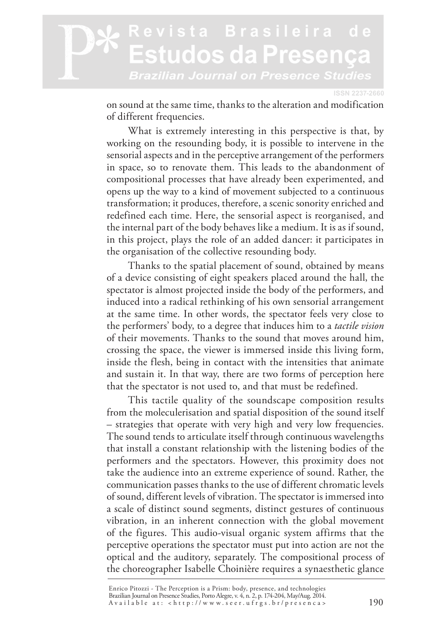#### evista Brasileira studos da Presenca Brazilian Journal on Presence Studies

**ISSN 2237-2660** 

on sound at the same time, thanks to the alteration and modification of different frequencies.

What is extremely interesting in this perspective is that, by working on the resounding body, it is possible to intervene in the sensorial aspects and in the perceptive arrangement of the performers in space, so to renovate them. This leads to the abandonment of compositional processes that have already been experimented, and opens up the way to a kind of movement subjected to a continuous transformation; it produces, therefore, a scenic sonority enriched and redefined each time. Here, the sensorial aspect is reorganised, and the internal part of the body behaves like a medium. It is as if sound, in this project, plays the role of an added dancer: it participates in the organisation of the collective resounding body.

Thanks to the spatial placement of sound, obtained by means of a device consisting of eight speakers placed around the hall, the spectator is almost projected inside the body of the performers, and induced into a radical rethinking of his own sensorial arrangement at the same time. In other words, the spectator feels very close to the performers' body, to a degree that induces him to a *tactile vision* of their movements. Thanks to the sound that moves around him, crossing the space, the viewer is immersed inside this living form, inside the flesh, being in contact with the intensities that animate and sustain it. In that way, there are two forms of perception here that the spectator is not used to, and that must be redefined.

This tactile quality of the soundscape composition results from the moleculerisation and spatial disposition of the sound itself – strategies that operate with very high and very low frequencies. The sound tends to articulate itself through continuous wavelengths that install a constant relationship with the listening bodies of the performers and the spectators. However, this proximity does not take the audience into an extreme experience of sound. Rather, the communication passes thanks to the use of different chromatic levels of sound, different levels of vibration. The spectator is immersed into a scale of distinct sound segments, distinct gestures of continuous vibration, in an inherent connection with the global movement of the figures. This audio-visual organic system affirms that the perceptive operations the spectator must put into action are not the optical and the auditory, separately. The compositional process of the choreographer Isabelle Choinière requires a synaesthetic glance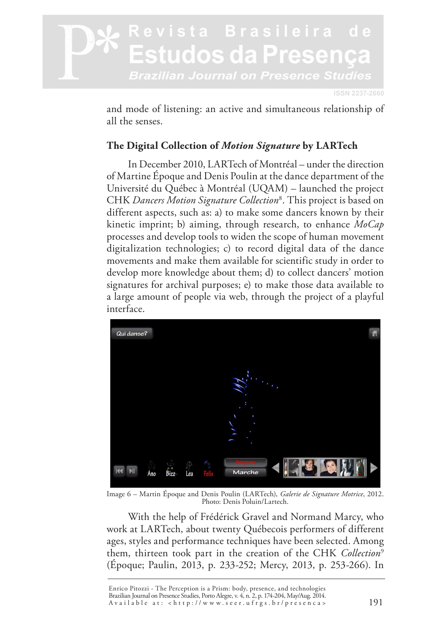

and mode of listening: an active and simultaneous relationship of all the senses.

#### **The Digital Collection of** *Motion Signature* **by LARTech**

In December 2010, LARTech of Montréal – under the direction of Martine Époque and Denis Poulin at the dance department of the Université du Québec à Montréal (UQAM) – launched the project CHK *Dancers Motion Signature Collection*<sup>8</sup> . This project is based on different aspects, such as: a) to make some dancers known by their kinetic imprint; b) aiming, through research, to enhance *MoCap* processes and develop tools to widen the scope of human movement digitalization technologies; c) to record digital data of the dance movements and make them available for scientific study in order to develop more knowledge about them; d) to collect dancers' motion signatures for archival purposes; e) to make those data available to a large amount of people via web, through the project of a playful interface.



Image 6 – Martin Époque and Denis Poulin (LARTech), *Galerie de Signature Motrice*, 2012. Photo: Denis Poluin/Lartech.

With the help of Frédérick Gravel and Normand Marcy, who work at LARTech, about twenty Québecois performers of different ages, styles and performance techniques have been selected. Among them, thirteen took part in the creation of the CHK *Collection*<sup>9</sup> (Époque; Paulin, 2013, p. 233-252; Mercy, 2013, p. 253-266). In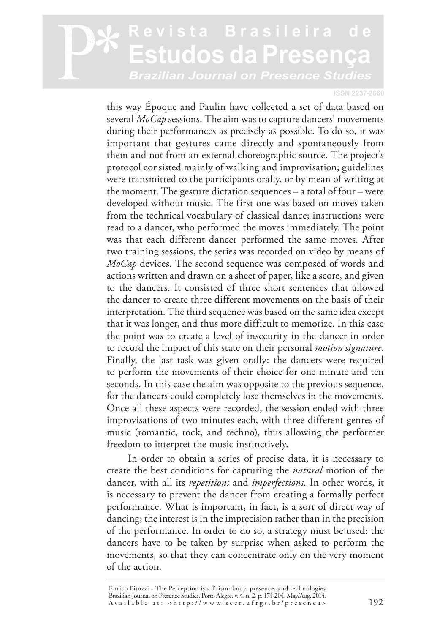#### **ISSN 2237-2660**

this way Époque and Paulin have collected a set of data based on several *MoCap* sessions. The aim was to capture dancers' movements during their performances as precisely as possible. To do so, it was important that gestures came directly and spontaneously from them and not from an external choreographic source. The project's protocol consisted mainly of walking and improvisation; guidelines were transmitted to the participants orally, or by mean of writing at the moment. The gesture dictation sequences – a total of four – were developed without music. The first one was based on moves taken from the technical vocabulary of classical dance; instructions were read to a dancer, who performed the moves immediately. The point was that each different dancer performed the same moves. After two training sessions, the series was recorded on video by means of *MoCap* devices. The second sequence was composed of words and actions written and drawn on a sheet of paper, like a score, and given to the dancers. It consisted of three short sentences that allowed the dancer to create three different movements on the basis of their interpretation. The third sequence was based on the same idea except that it was longer, and thus more difficult to memorize. In this case the point was to create a level of insecurity in the dancer in order to record the impact of this state on their personal *motion signature*. Finally, the last task was given orally: the dancers were required to perform the movements of their choice for one minute and ten seconds. In this case the aim was opposite to the previous sequence, for the dancers could completely lose themselves in the movements. Once all these aspects were recorded, the session ended with three improvisations of two minutes each, with three different genres of music (romantic, rock, and techno), thus allowing the performer freedom to interpret the music instinctively.

In order to obtain a series of precise data, it is necessary to create the best conditions for capturing the *natural* motion of the dancer, with all its *repetitions* and *imperfections*. In other words, it is necessary to prevent the dancer from creating a formally perfect performance. What is important, in fact, is a sort of direct way of dancing; the interest is in the imprecision rather than in the precision of the performance. In order to do so, a strategy must be used: the dancers have to be taken by surprise when asked to perform the movements, so that they can concentrate only on the very moment of the action.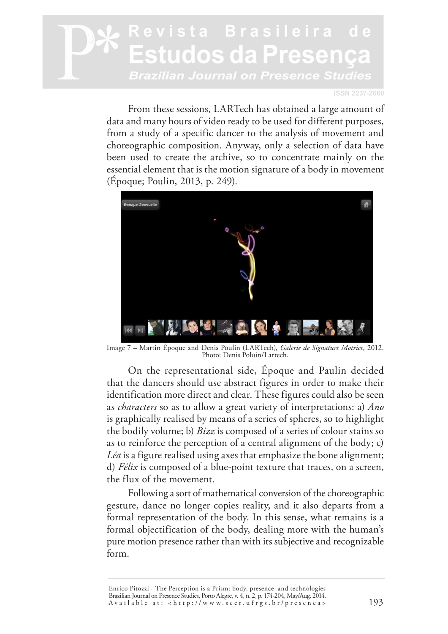**ISSN 2237-2660**

From these sessions, LARTech has obtained a large amount of data and many hours of video ready to be used for different purposes, from a study of a specific dancer to the analysis of movement and choreographic composition. Anyway, only a selection of data have been used to create the archive, so to concentrate mainly on the essential element that is the motion signature of a body in movement (Époque; Poulin, 2013, p. 249).



Image 7 – Martin Époque and Denis Poulin (LARTech), *Galerie de Signature Motrice*, 2012. Photo: Denis Poluin/Lartech.

On the representational side, Époque and Paulin decided that the dancers should use abstract figures in order to make their identification more direct and clear. These figures could also be seen as *characters* so as to allow a great variety of interpretations: a) *Ano* is graphically realised by means of a series of spheres, so to highlight the bodily volume; b) *Bizz* is composed of a series of colour stains so as to reinforce the perception of a central alignment of the body; c) *Léa* is a figure realised using axes that emphasize the bone alignment; d) *Félix* is composed of a blue-point texture that traces, on a screen, the flux of the movement.

Following a sort of mathematical conversion of the choreographic gesture, dance no longer copies reality, and it also departs from a formal representation of the body. In this sense, what remains is a formal objectification of the body, dealing more with the human's pure motion presence rather than with its subjective and recognizable form.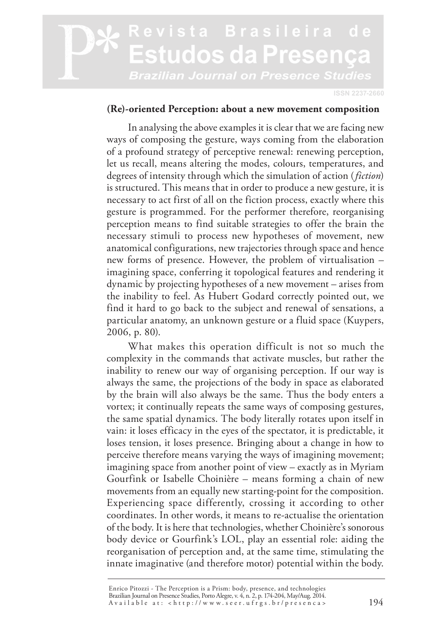**ISSN 2237-2660**

#### **(Re)-oriented Perception: about a new movement composition**

In analysing the above examples it is clear that we are facing new ways of composing the gesture, ways coming from the elaboration of a profound strategy of perceptive renewal: renewing perception, let us recall, means altering the modes, colours, temperatures, and degrees of intensity through which the simulation of action (*fiction*) is structured. This means that in order to produce a new gesture, it is necessary to act first of all on the fiction process, exactly where this gesture is programmed. For the performer therefore, reorganising perception means to find suitable strategies to offer the brain the necessary stimuli to process new hypotheses of movement, new anatomical configurations, new trajectories through space and hence new forms of presence. However, the problem of virtualisation – imagining space, conferring it topological features and rendering it dynamic by projecting hypotheses of a new movement – arises from the inability to feel. As Hubert Godard correctly pointed out, we find it hard to go back to the subject and renewal of sensations, a particular anatomy, an unknown gesture or a fluid space (Kuypers, 2006, p. 80).

What makes this operation difficult is not so much the complexity in the commands that activate muscles, but rather the inability to renew our way of organising perception. If our way is always the same, the projections of the body in space as elaborated by the brain will also always be the same. Thus the body enters a vortex; it continually repeats the same ways of composing gestures, the same spatial dynamics. The body literally rotates upon itself in vain: it loses efficacy in the eyes of the spectator, it is predictable, it loses tension, it loses presence. Bringing about a change in how to perceive therefore means varying the ways of imagining movement; imagining space from another point of view – exactly as in Myriam Gourfink or Isabelle Choinière – means forming a chain of new movements from an equally new starting-point for the composition. Experiencing space differently, crossing it according to other coordinates. In other words, it means to re-actualise the orientation of the body. It is here that technologies, whether Choinière's sonorous body device or Gourfink's LOL, play an essential role: aiding the reorganisation of perception and, at the same time, stimulating the innate imaginative (and therefore motor) potential within the body.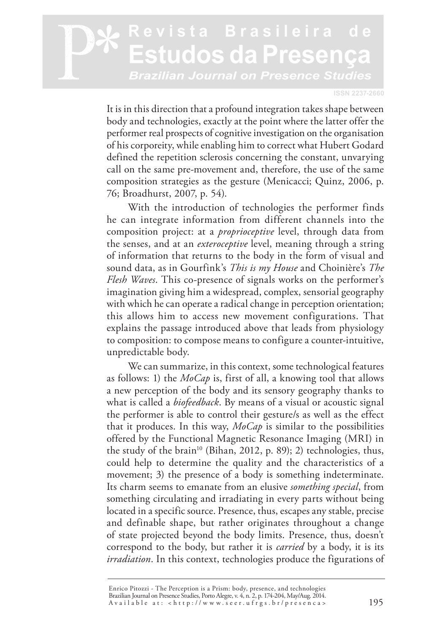#### evista Brasileira de studos da Presen Brazilian Journal on Presence Studies

**ISSN 2237-2660**

It is in this direction that a profound integration takes shape between body and technologies, exactly at the point where the latter offer the performer real prospects of cognitive investigation on the organisation of his corporeity, while enabling him to correct what Hubert Godard defined the repetition sclerosis concerning the constant, unvarying call on the same pre-movement and, therefore, the use of the same composition strategies as the gesture (Menicacci; Quinz, 2006, p. 76; Broadhurst, 2007, p. 54).

With the introduction of technologies the performer finds he can integrate information from different channels into the composition project: at a *proprioceptive* level, through data from the senses, and at an *exteroceptive* level, meaning through a string of information that returns to the body in the form of visual and sound data, as in Gourfink's *This is my House* and Choinière's *The Flesh Waves*. This co-presence of signals works on the performer's imagination giving him a widespread, complex, sensorial geography with which he can operate a radical change in perception orientation; this allows him to access new movement configurations. That explains the passage introduced above that leads from physiology to composition: to compose means to configure a counter-intuitive, unpredictable body.

We can summarize, in this context, some technological features as follows: 1) the *MoCap* is, first of all, a knowing tool that allows a new perception of the body and its sensory geography thanks to what is called a *biofeedback*. By means of a visual or acoustic signal the performer is able to control their gesture/s as well as the effect that it produces. In this way, *MoCap* is similar to the possibilities offered by the Functional Magnetic Resonance Imaging (MRI) in the study of the brain<sup>10</sup> (Bihan, 2012, p. 89); 2) technologies, thus, could help to determine the quality and the characteristics of a movement; 3) the presence of a body is something indeterminate. Its charm seems to emanate from an elusive *something special*, from something circulating and irradiating in every parts without being located in a specific source. Presence, thus, escapes any stable, precise and definable shape, but rather originates throughout a change of state projected beyond the body limits. Presence, thus, doesn't correspond to the body, but rather it is *carried* by a body, it is its *irradiation*. In this context, technologies produce the figurations of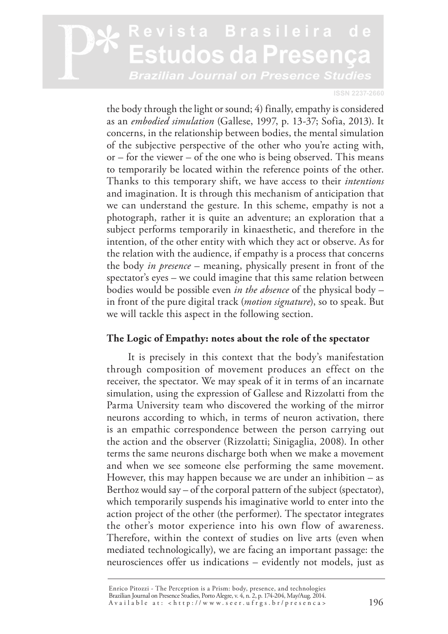#### **ISSN 2237-2660**

the body through the light or sound; 4) finally, empathy is considered as an *embodied simulation* (Gallese, 1997, p. 13-37; Sofia, 2013). It concerns, in the relationship between bodies, the mental simulation of the subjective perspective of the other who you're acting with, or – for the viewer – of the one who is being observed. This means to temporarily be located within the reference points of the other. Thanks to this temporary shift, we have access to their *intentions* and imagination. It is through this mechanism of anticipation that we can understand the gesture. In this scheme, empathy is not a photograph, rather it is quite an adventure; an exploration that a subject performs temporarily in kinaesthetic, and therefore in the intention, of the other entity with which they act or observe. As for the relation with the audience, if empathy is a process that concerns the body *in presence* – meaning, physically present in front of the spectator's eyes – we could imagine that this same relation between bodies would be possible even *in the absence* of the physical body – in front of the pure digital track (*motion signature*), so to speak. But we will tackle this aspect in the following section.

#### **The Logic of Empathy: notes about the role of the spectator**

It is precisely in this context that the body's manifestation through composition of movement produces an effect on the receiver, the spectator. We may speak of it in terms of an incarnate simulation, using the expression of Gallese and Rizzolatti from the Parma University team who discovered the working of the mirror neurons according to which, in terms of neuron activation, there is an empathic correspondence between the person carrying out the action and the observer (Rizzolatti; Sinigaglia, 2008). In other terms the same neurons discharge both when we make a movement and when we see someone else performing the same movement. However, this may happen because we are under an inhibition – as Berthoz would say – of the corporal pattern of the subject (spectator), which temporarily suspends his imaginative world to enter into the action project of the other (the performer). The spectator integrates the other's motor experience into his own flow of awareness. Therefore, within the context of studies on live arts (even when mediated technologically), we are facing an important passage: the neurosciences offer us indications – evidently not models, just as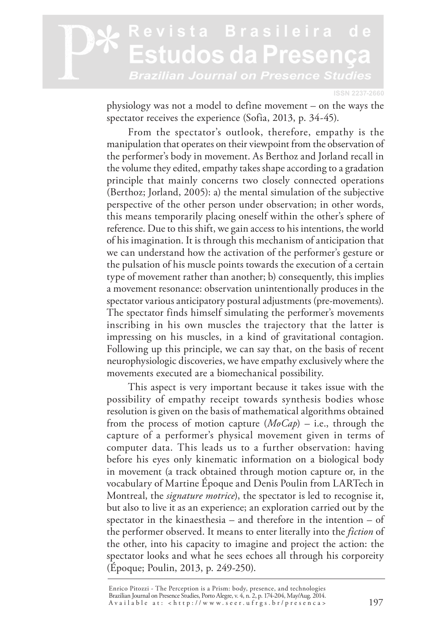#### evista Brasileira de studos da Presenca Brazilian Journal on Presence Studies

**ISSN 2237-2660**

physiology was not a model to define movement – on the ways the spectator receives the experience (Sofia, 2013, p. 34-45).

From the spectator's outlook, therefore, empathy is the manipulation that operates on their viewpoint from the observation of the performer's body in movement. As Berthoz and Jorland recall in the volume they edited, empathy takes shape according to a gradation principle that mainly concerns two closely connected operations (Berthoz; Jorland, 2005): a) the mental simulation of the subjective perspective of the other person under observation; in other words, this means temporarily placing oneself within the other's sphere of reference. Due to this shift, we gain access to his intentions, the world of his imagination. It is through this mechanism of anticipation that we can understand how the activation of the performer's gesture or the pulsation of his muscle points towards the execution of a certain type of movement rather than another; b) consequently, this implies a movement resonance: observation unintentionally produces in the spectator various anticipatory postural adjustments (pre-movements). The spectator finds himself simulating the performer's movements inscribing in his own muscles the trajectory that the latter is impressing on his muscles, in a kind of gravitational contagion. Following up this principle, we can say that, on the basis of recent neurophysiologic discoveries, we have empathy exclusively where the movements executed are a biomechanical possibility.

This aspect is very important because it takes issue with the possibility of empathy receipt towards synthesis bodies whose resolution is given on the basis of mathematical algorithms obtained from the process of motion capture (*MoCap*) – i.e., through the capture of a performer's physical movement given in terms of computer data. This leads us to a further observation: having before his eyes only kinematic information on a biological body in movement (a track obtained through motion capture or, in the vocabulary of Martine Époque and Denis Poulin from LARTech in Montreal, the *signature motrice*), the spectator is led to recognise it, but also to live it as an experience; an exploration carried out by the spectator in the kinaesthesia – and therefore in the intention – of the performer observed. It means to enter literally into the *fiction* of the other, into his capacity to imagine and project the action: the spectator looks and what he sees echoes all through his corporeity (Époque; Poulin, 2013, p. 249-250).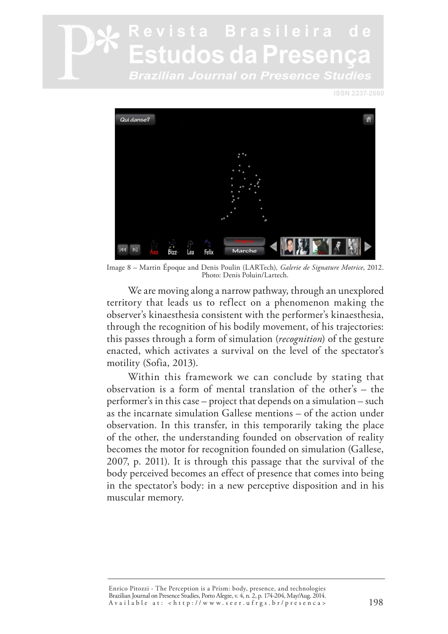**ISSN 2237-2660**



Image 8 – Martin Époque and Denis Poulin (LARTech), *Galerie de Signature Motrice*, 2012. Photo: Denis Poluin/Lartech.

We are moving along a narrow pathway, through an unexplored territory that leads us to reflect on a phenomenon making the observer's kinaesthesia consistent with the performer's kinaesthesia, through the recognition of his bodily movement, of his trajectories: this passes through a form of simulation (*recognition*) of the gesture enacted, which activates a survival on the level of the spectator's motility (Sofia, 2013).

Within this framework we can conclude by stating that observation is a form of mental translation of the other's – the performer's in this case – project that depends on a simulation – such as the incarnate simulation Gallese mentions – of the action under observation. In this transfer, in this temporarily taking the place of the other, the understanding founded on observation of reality becomes the motor for recognition founded on simulation (Gallese, 2007, p. 2011). It is through this passage that the survival of the body perceived becomes an effect of presence that comes into being in the spectator's body: in a new perceptive disposition and in his muscular memory.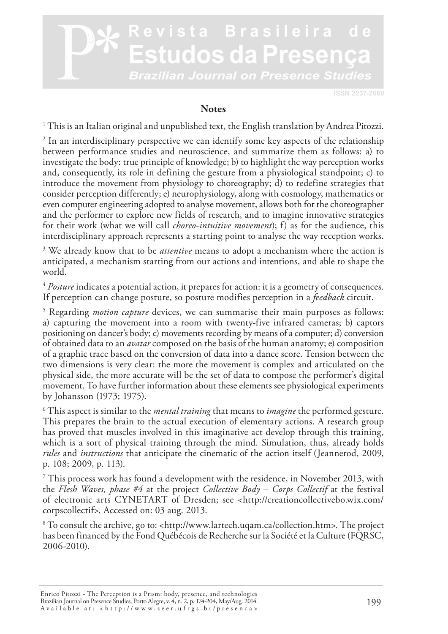

#### **Notes**

 $^{\rm 1}$  This is an Italian original and unpublished text, the English translation by Andrea Pitozzi.

<sup>2</sup> In an interdisciplinary perspective we can identify some key aspects of the relationship between performance studies and neuroscience, and summarize them as follows: a) to investigate the body: true principle of knowledge; b) to highlight the way perception works and, consequently, its role in defining the gesture from a physiological standpoint; c) to introduce the movement from physiology to choreography; d) to redefine strategies that consider perception differently; e) neurophysiology, along with cosmology, mathematics or even computer engineering adopted to analyse movement, allows both for the choreographer and the performer to explore new fields of research, and to imagine innovative strategies for their work (what we will call *choreo-intuitive movement*); f) as for the audience, this interdisciplinary approach represents a starting point to analyse the way reception works.

<sup>3</sup> We already know that to be *attentive* means to adopt a mechanism where the action is anticipated, a mechanism starting from our actions and intentions, and able to shape the world.

<sup>4</sup> *Posture* indicates a potential action, it prepares for action: it is a geometry of consequences. If perception can change posture, so posture modifies perception in a *feedback* circuit.

5 Regarding *motion capture* devices, we can summarise their main purposes as follows: a) capturing the movement into a room with twenty-five infrared cameras; b) captors positioning on dancer's body; c) movements recording by means of a computer; d) conversion of obtained data to an *avatar* composed on the basis of the human anatomy; e) composition of a graphic trace based on the conversion of data into a dance score. Tension between the two dimensions is very clear: the more the movement is complex and articulated on the physical side, the more accurate will be the set of data to compose the performer's digital movement. To have further information about these elements see physiological experiments by Johansson (1973; 1975).

6 This aspect is similar to the *mental training* that means to *imagine* the performed gesture. This prepares the brain to the actual execution of elementary actions. A research group has proved that muscles involved in this imaginative act develop through this training, which is a sort of physical training through the mind. Simulation, thus, already holds *rules* and *instructions* that anticipate the cinematic of the action itself (Jeannerod, 2009, p. 108; 2009, p. 113).

 $^7$  This process work has found a development with the residence, in November 2013, with  $\,$ the *Flesh Waves, phase #4* at the project *Collective Body – Corps Collectif* at the festival of electronic arts CYNETART of Dresden; see <http://creationcollectivebo.wix.com/ corpscollectif>. Accessed on: 03 aug. 2013.

<sup>8</sup> To consult the archive, go to: <http://www.lartech.uqam.ca/collection.htm>. The project has been financed by the Fond Québécois de Recherche sur la Société et la Culture (FQRSC, 2006-2010).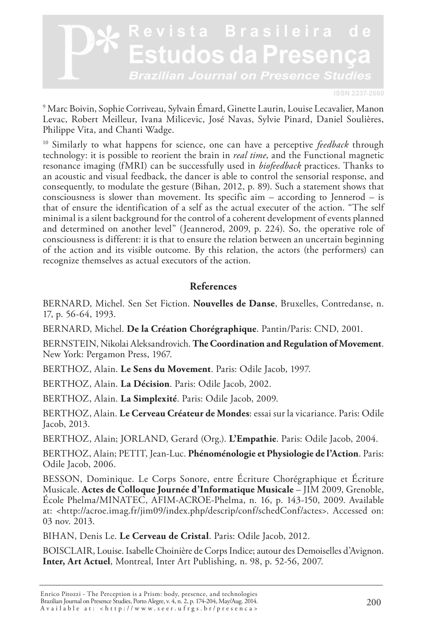

9 Marc Boivin, Sophie Corriveau, Sylvain Émard, Ginette Laurin, Louise Lecavalier, Manon Levac, Robert Meilleur, Ivana Milicevic, José Navas, Sylvie Pinard, Daniel Soulières, Philippe Vita, and Chanti Wadge.

10 Similarly to what happens for science, one can have a perceptive *feedback* through technology: it is possible to reorient the brain in *real time*, and the Functional magnetic resonance imaging (fMRI) can be successfully used in *biofeedback* practices. Thanks to an acoustic and visual feedback, the dancer is able to control the sensorial response, and consequently, to modulate the gesture (Bihan, 2012, p. 89). Such a statement shows that consciousness is slower than movement. Its specific aim – according to Jennerod – is that of ensure the identification of a self as the actual executer of the action. "The self minimal is a silent background for the control of a coherent development of events planned and determined on another level" (Jeannerod, 2009, p. 224). So, the operative role of consciousness is different: it is that to ensure the relation between an uncertain beginning of the action and its visible outcome. By this relation, the actors (the performers) can recognize themselves as actual executors of the action.

#### **References**

BERNARD, Michel. Sen Set Fiction. **Nouvelles de Danse**, Bruxelles, Contredanse, n. 17, p. 56-64, 1993.

BERNARD, Michel. **De la Création Chorégraphique**. Pantin/Paris: CND, 2001.

BERNSTEIN, Nikolai Aleksandrovich. **The Coordination and Regulation of Movement**. New York: Pergamon Press, 1967.

BERTHOZ, Alain. **Le Sens du Movement**. Paris: Odile Jacob, 1997.

BERTHOZ, Alain. **La Décision**. Paris: Odile Jacob, 2002.

BERTHOZ, Alain. **La Simplexité**. Paris: Odile Jacob, 2009.

BERTHOZ, Alain. **Le Cerveau Créateur de Mondes**: essai sur la vicariance. Paris: Odile Jacob, 2013.

BERTHOZ, Alain; JORLAND, Gerard (Org.). **L'Empathie**. Paris: Odile Jacob, 2004.

BERTHOZ, Alain; PETIT, Jean-Luc. **Phénoménologie et Physiologie de l'Action**. Paris: Odile Jacob, 2006.

BESSON, Dominique. Le Corps Sonore, entre Écriture Chorégraphique et Écriture Musicale. **Actes de Colloque Journée d'Informatique Musicale** – JIM 2009, Grenoble, École Phelma/MINATEC, AFIM-ACROE-Phelma, n. 16, p. 143-150, 2009. Available at: <http://acroe.imag.fr/jim09/index.php/descrip/conf/schedConf/actes>. Accessed on: 03 nov. 2013.

BIHAN, Denis Le. **Le Cerveau de Cristal**. Paris: Odile Jacob, 2012.

BOISCLAIR, Louise. Isabelle Choinière de Corps Indice; autour des Demoiselles d'Avignon. **Inter, Art Actuel**, Montreal, Inter Art Publishing, n. 98, p. 52-56, 2007.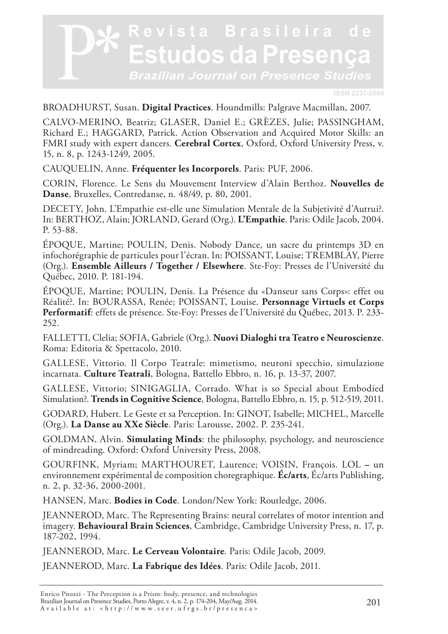

#### BROADHURST, Susan. **Digital Practices**. Houndmills: Palgrave Macmillan, 2007.

CALVO-MERINO, Beatriz; GLASER, Daniel E.; GRÈZES, Julie; PASSINGHAM, Richard E.; HAGGARD, Patrick. Action Observation and Acquired Motor Skills: an FMRI study with expert dancers. **Cerebral Cortex**, Oxford, Oxford University Press, v. 15, n. 8, p. 1243-1249, 2005.

CAUQUELIN, Anne. **Fréquenter les Incorporels**. Paris: PUF, 2006.

CORIN, Florence. Le Sens du Mouvement Interview d'Alain Berthoz. **Nouvelles de Danse**, Bruxelles, Contredanse, n. 48/49, p. 80, 2001.

DECETY, John. L'Empathie est-elle une Simulation Mentale de la Subjetivité d'Autrui?. In: BERTHOZ, Alain; JORLAND, Gerard (Org.). **L'Empathie**. Paris: Odile Jacob, 2004. P. 53-88.

ÉPOQUE, Martine; POULIN, Denis. Nobody Dance, un sacre du printemps 3D en infochorégraphie de particules pour l'écran. In: POISSANT, Louise; TREMBLAY, Pierre (Org.). **Ensemble Ailleurs / Together / Elsewhere**. Ste-Foy: Presses de l'Université du Québec, 2010. P. 181-194.

ÉPOQUE, Martine; POULIN, Denis. La Présence du «Danseur sans Corps»: effet ou Réalité?. In: BOURASSA, Renée; POISSANT, Louise. **Personnage Virtuels et Corps Performatif**: effets de présence. Ste-Foy: Presses de l'Université du Québec, 2013. P. 233- 252.

FALLETTI, Clelia; SOFIA, Gabriele (Org.). **Nuovi Dialoghi tra Teatro e Neuroscienze**. Roma: Editoria & Spettacolo, 2010.

GALLESE, Vittorio. Il Corpo Teatrale: mimetismo, neuroni specchio, simulazione incarnata. **Culture Teatrali**, Bologna, Battello Ebbro, n. 16, p. 13-37, 2007.

GALLESE, Vittorio; SINIGAGLIA, Corrado. What is so Special about Embodied Simulation?. **Trends in Cognitive Science**, Bologna, Battello Ebbro, n. 15, p. 512-519, 2011.

GODARD, Hubert. Le Geste et sa Perception. In: GINOT, Isabelle; MICHEL, Marcelle (Org.). **La Danse au XXe Siècle**. Paris: Larousse, 2002. P. 235-241.

GOLDMAN, Alvin. **Simulating Minds**: the philosophy, psychology, and neuroscience of mindreading. Oxford: Oxford University Press, 2008.

GOURFINK, Myriam; MARTHOURET, Laurence; VOISIN, François. LOL **–** un environnement expérimental de composition choregraphique. **Éc/arts**, Éc/arts Publishing, n. 2, p. 32-36, 2000-2001.

HANSEN, Marc. **Bodies in Code**. London/New York: Routledge, 2006.

JEANNEROD, Marc. The Representing Brains: neural correlates of motor intention and imagery. **Behavioural Brain Sciences**, Cambridge, Cambridge University Press, n. 17, p. 187-202, 1994.

JEANNEROD, Marc. **Le Cerveau Volontaire**. Paris: Odile Jacob, 2009.

JEANNEROD, Marc. **La Fabrique des Idées**. Paris: Odile Jacob, 2011.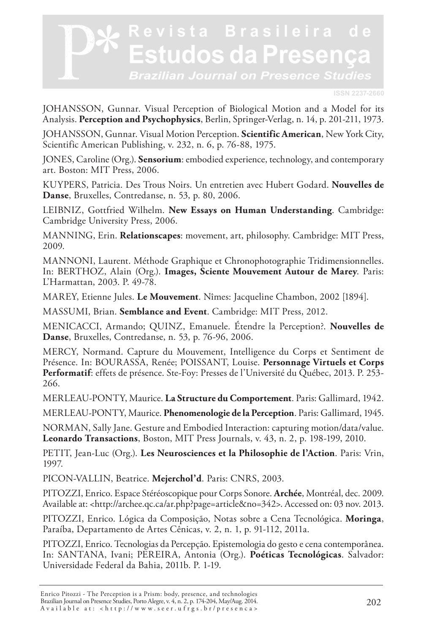**ISSN 2237-2660**

JOHANSSON, Gunnar. Visual Perception of Biological Motion and a Model for its Analysis. **Perception and Psychophysics**, Berlin, Springer-Verlag, n. 14, p. 201-211, 1973.

JOHANSSON, Gunnar. Visual Motion Perception. **Scientific American**, New York City, Scientific American Publishing, v. 232, n. 6, p. 76-88, 1975.

JONES, Caroline (Org.). **Sensorium**: embodied experience, technology, and contemporary art. Boston: MIT Press, 2006.

KUYPERS, Patricia. Des Trous Noirs. Un entretien avec Hubert Godard. **Nouvelles de Danse**, Bruxelles, Contredanse, n. 53, p. 80, 2006.

LEIBNIZ, Gottfried Wilhelm. **New Essays on Human Understanding**. Cambridge: Cambridge University Press, 2006.

MANNING, Erin. **Relationscapes**: movement, art, philosophy. Cambridge: MIT Press, 2009.

MANNONI, Laurent. Méthode Graphique et Chronophotographie Tridimensionnelles. In: BERTHOZ, Alain (Org.). **Images, Sciente Mouvement Autour de Marey**. Paris: L'Harmattan, 2003. P. 49-78.

MAREY, Etienne Jules. **Le Mouvement**. Nîmes: Jacqueline Chambon, 2002 [1894].

MASSUMI, Brian. **Semblance and Event**. Cambridge: MIT Press, 2012.

MENICACCI, Armando; QUINZ, Emanuele. Étendre la Perception?. **Nouvelles de Danse**, Bruxelles, Contredanse, n. 53, p. 76-96, 2006.

MERCY, Normand. Capture du Mouvement, Intelligence du Corps et Sentiment de Présence. In: BOURASSA, Renée; POISSANT, Louise. **Personnage Virtuels et Corps Performatif**: effets de présence. Ste-Foy: Presses de l'Université du Québec, 2013. P. 253- 266.

MERLEAU-PONTY, Maurice. **La Structure du Comportement**. Paris: Gallimard, 1942.

MERLEAU-PONTY, Maurice. **Phenomenologie de la Perception**. Paris: Gallimard, 1945.

NORMAN, Sally Jane. Gesture and Embodied Interaction: capturing motion/data/value. **Leonardo Transactions**, Boston, MIT Press Journals, v. 43, n. 2, p. 198-199, 2010.

PETIT, Jean-Luc (Org.). **Les Neurosciences et la Philosophie de l'Action**. Paris: Vrin, 1997.

PICON-VALLIN, Beatrice. **Mejerchol'd**. Paris: CNRS, 2003.

PITOZZI, Enrico. Espace Stéréoscopique pour Corps Sonore. **Archée**, Montréal, dec. 2009. Available at: <http://archee.qc.ca/ar.php?page=article&no=342>. Accessed on: 03 nov. 2013.

PITOZZI, Enrico. Lógica da Composição, Notas sobre a Cena Tecnológica. **Moringa**, Paraíba, Departamento de Artes Cênicas, v. 2, n. 1, p. 91-112, 2011a.

PITOZZI, Enrico. Tecnologias da Percepção. Epistemologia do gesto e cena contemporânea. In: SANTANA, Ivani; PEREIRA, Antonia (Org.). **Poéticas Tecnológicas**. Salvador: Universidade Federal da Bahia, 2011b. P. 1-19.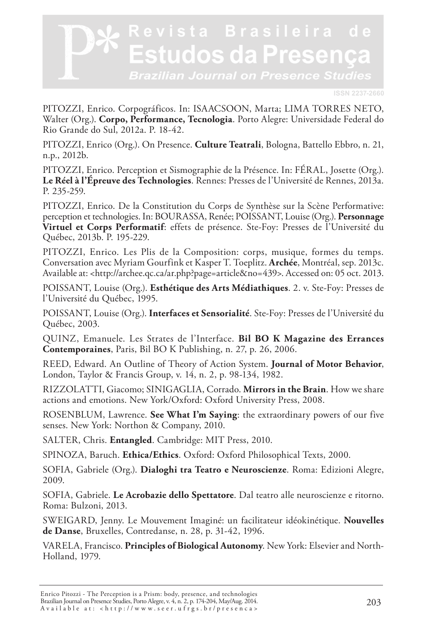**ISSN 2237-2660**

PITOZZI, Enrico. Corpográficos. In: ISAACSOON, Marta; LIMA TORRES NETO, Walter (Org.). **Corpo, Performance, Tecnologia**. Porto Alegre: Universidade Federal do Rio Grande do Sul, 2012a. P. 18-42.

PITOZZI, Enrico (Org.). On Presence. **Culture Teatrali**, Bologna, Battello Ebbro, n. 21, n.p., 2012b.

PITOZZI, Enrico. Perception et Sismographie de la Présence. In: FÉRAL, Josette (Org.). **Le Réel à l'Épreuve des Technologies**. Rennes: Presses de l'Université de Rennes, 2013a. P. 235-259.

PITOZZI, Enrico. De la Constitution du Corps de Synthèse sur la Scène Performative: perception et technologies. In: BOURASSA, Renée; POISSANT, Louise (Org.). **Personnage Virtuel et Corps Performatif**: effets de présence. Ste-Foy: Presses de l'Université du Québec, 2013b. P. 195-229.

PITOZZI, Enrico. Les Plis de la Composition: corps, musique, formes du temps. Conversation avec Myriam Gourfink et Kasper T. Toeplitz. **Archée**, Montréal, sep. 2013c. Available at: <http://archee.qc.ca/ar.php?page=article&no=439>. Accessed on: 05 oct. 2013.

POISSANT, Louise (Org.). **Esthétique des Arts Médiathiques**. 2. v. Ste-Foy: Presses de l'Université du Québec, 1995.

POISSANT, Louise (Org.). **Interfaces et Sensorialité**. Ste-Foy: Presses de l'Université du Québec, 2003.

QUINZ, Emanuele. Les Strates de l'Interface. **Bil BO K Magazine des Errances Contemporaines**, Paris, Bil BO K Publishing, n. 27, p. 26, 2006.

REED, Edward. An Outline of Theory of Action System. **Journal of Motor Behavior**, London, Taylor & Francis Group, v. 14, n. 2, p. 98-134, 1982.

RIZZOLATTI, Giacomo; SINIGAGLIA, Corrado. **Mirrors in the Brain**. How we share actions and emotions. New York/Oxford: Oxford University Press, 2008.

ROSENBLUM, Lawrence. **See What I'm Saying**: the extraordinary powers of our five senses. New York: Northon & Company, 2010.

SALTER, Chris. **Entangled**. Cambridge: MIT Press, 2010.

SPINOZA, Baruch. **Ethica/Ethics**. Oxford: Oxford Philosophical Texts, 2000.

SOFIA, Gabriele (Org.). **Dialoghi tra Teatro e Neuroscienze**. Roma: Edizioni Alegre, 2009.

SOFIA, Gabriele. **Le Acrobazie dello Spettatore**. Dal teatro alle neuroscienze e ritorno. Roma: Bulzoni, 2013.

SWEIGARD, Jenny. Le Mouvement Imaginé: un facilitateur idéokinétique. **Nouvelles de Danse**, Bruxelles, Contredanse, n. 28, p. 31-42, 1996.

VARELA, Francisco. **Principles of Biological Autonomy**. New York: Elsevier and North-Holland, 1979.